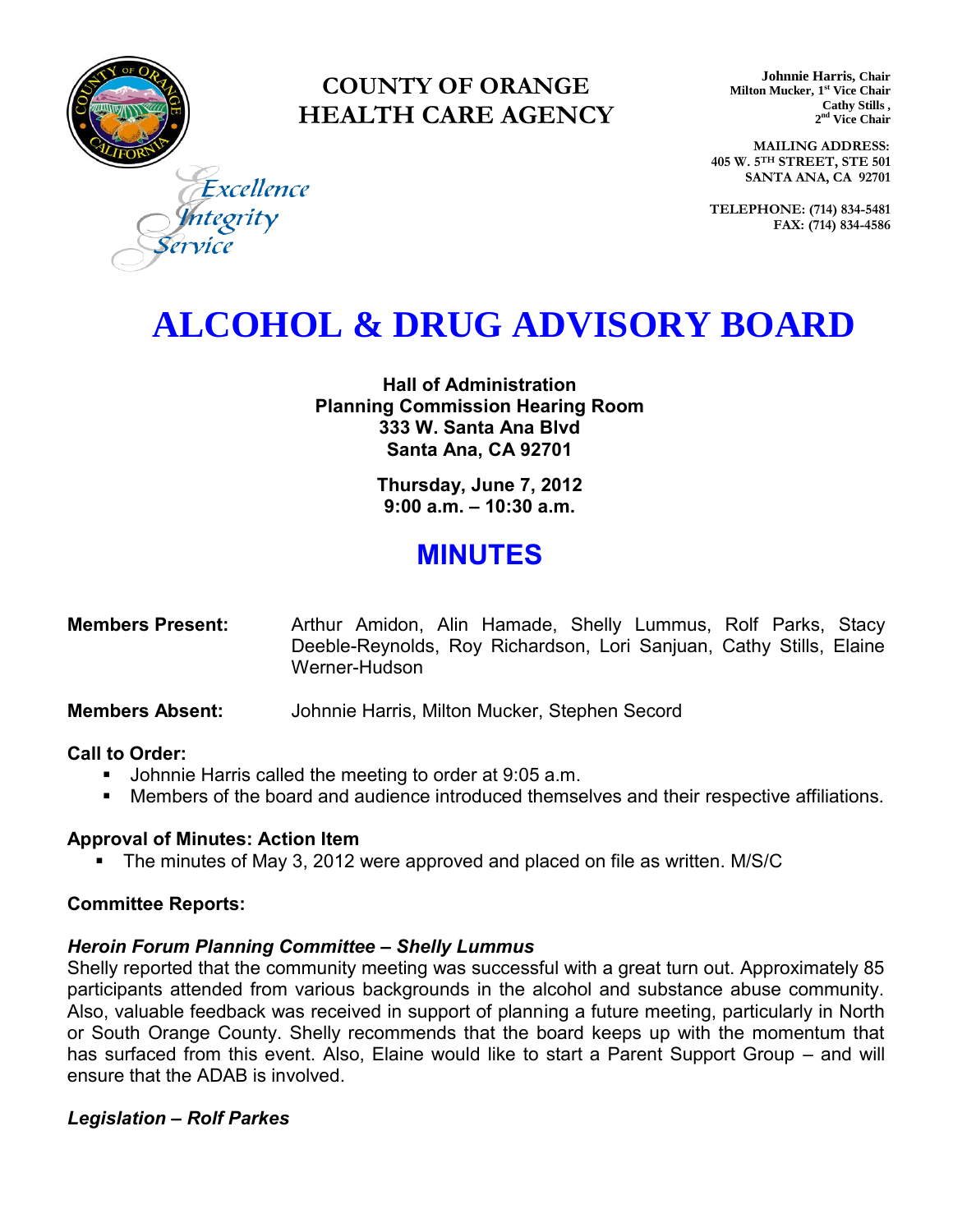

### **COUNTY OF ORANGE HEALTH CARE AGENCY**

**Johnnie Harris, Chair Milton Mucker, 1 st Vice Chair Cathy Stills , 2 nd Vice Chair**

**MAILING ADDRESS: 405 W. 5TH STREET, STE 501 SANTA ANA, CA 92701**

**TELEPHONE: (714) 834-5481 FAX: (714) 834-4586**

Excellence egrity

## **ALCOHOL & DRUG ADVISORY BOARD**

**Hall of Administration Planning Commission Hearing Room 333 W. Santa Ana Blvd Santa Ana, CA 92701** 

> **Thursday, June 7, 2012 9:00 a.m. – 10:30 a.m.**

### **MINUTES**

| <b>Members Present:</b> |               | Arthur Amidon, Alin Hamade, Shelly Lummus, Rolf Parks, Stacy        |  |  |  |
|-------------------------|---------------|---------------------------------------------------------------------|--|--|--|
|                         |               | Deeble-Reynolds, Roy Richardson, Lori Sanjuan, Cathy Stills, Elaine |  |  |  |
|                         | Werner-Hudson |                                                                     |  |  |  |

#### **Members Absent:** Johnnie Harris, Milton Mucker, Stephen Secord

#### **Call to Order:**

- **Johnnie Harris called the meeting to order at 9:05 a.m.**
- Members of the board and audience introduced themselves and their respective affiliations.

#### **Approval of Minutes: Action Item**

The minutes of May 3, 2012 were approved and placed on file as written. M/S/C

#### **Committee Reports:**

#### *Heroin Forum Planning Committee – Shelly Lummus*

Shelly reported that the community meeting was successful with a great turn out. Approximately 85 participants attended from various backgrounds in the alcohol and substance abuse community. Also, valuable feedback was received in support of planning a future meeting, particularly in North or South Orange County. Shelly recommends that the board keeps up with the momentum that has surfaced from this event. Also, Elaine would like to start a Parent Support Group – and will ensure that the ADAB is involved.

#### *Legislation – Rolf Parkes*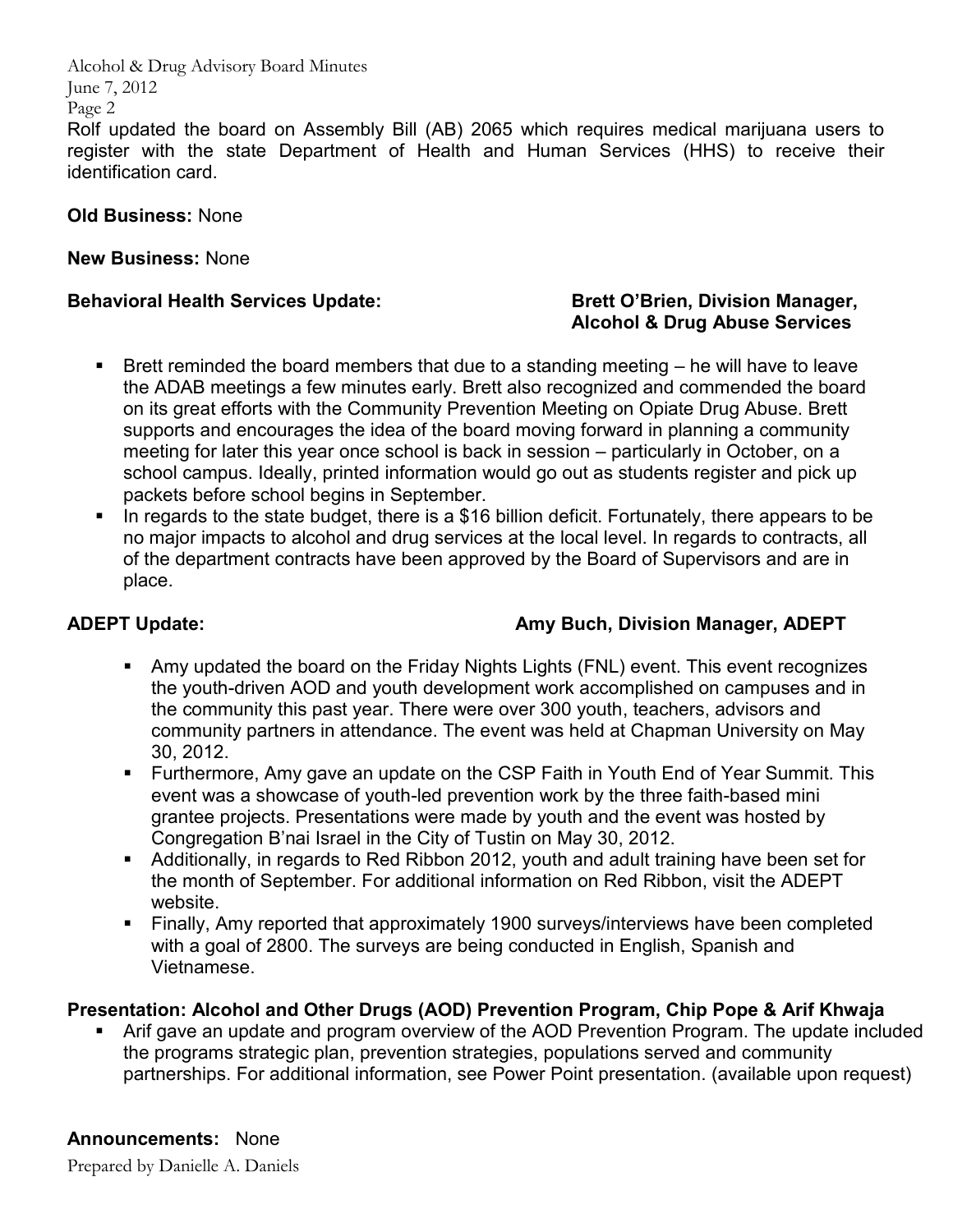Alcohol & Drug Advisory Board Minutes June 7, 2012 Page 2 Rolf updated the board on Assembly Bill (AB) 2065 which requires medical marijuana users to register with the state Department of Health and Human Services (HHS) to receive their identification card.

#### **Old Business:** None

#### **New Business:** None

#### **Behavioral Health Services Update:** Brett O'Brien, Division Manager, **Brett O'Brien**, Division Manager,

# **Alcohol & Drug Abuse Services**

- Brett reminded the board members that due to a standing meeting  $-$  he will have to leave the ADAB meetings a few minutes early. Brett also recognized and commended the board on its great efforts with the Community Prevention Meeting on Opiate Drug Abuse. Brett supports and encourages the idea of the board moving forward in planning a community meeting for later this year once school is back in session – particularly in October, on a school campus. Ideally, printed information would go out as students register and pick up packets before school begins in September.
- In regards to the state budget, there is a \$16 billion deficit. Fortunately, there appears to be no major impacts to alcohol and drug services at the local level. In regards to contracts, all of the department contracts have been approved by the Board of Supervisors and are in place.

#### **ADEPT Update: Amy Buch, Division Manager, ADEPT**

- Amy updated the board on the Friday Nights Lights (FNL) event. This event recognizes the youth-driven AOD and youth development work accomplished on campuses and in the community this past year. There were over 300 youth, teachers, advisors and community partners in attendance. The event was held at Chapman University on May 30, 2012.
- Furthermore, Amy gave an update on the CSP Faith in Youth End of Year Summit. This event was a showcase of youth-led prevention work by the three faith-based mini grantee projects. Presentations were made by youth and the event was hosted by Congregation B'nai Israel in the City of Tustin on May 30, 2012.
- Additionally, in regards to Red Ribbon 2012, youth and adult training have been set for the month of September. For additional information on Red Ribbon, visit the ADEPT website.
- Finally, Amy reported that approximately 1900 surveys/interviews have been completed with a goal of 2800. The surveys are being conducted in English, Spanish and Vietnamese.

#### **Presentation: Alcohol and Other Drugs (AOD) Prevention Program, Chip Pope & Arif Khwaja**

 Arif gave an update and program overview of the AOD Prevention Program. The update included the programs strategic plan, prevention strategies, populations served and community partnerships. For additional information, see Power Point presentation. (available upon request)

#### **Announcements:** None

Prepared by Danielle A. Daniels